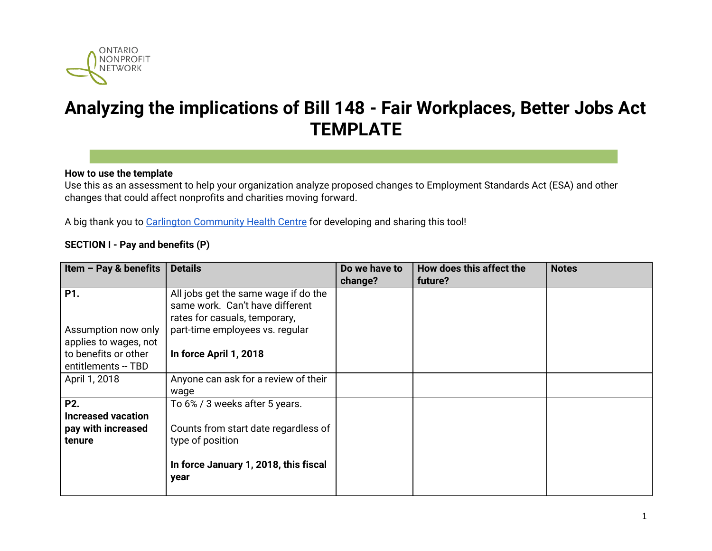

# **Analyzing the implications of Bill 148 - Fair Workplaces, Better Jobs Act TEMPLATE**

#### **How to use the template**

Use this as an assessment to help your organization analyze proposed changes to Employment Standards Act (ESA) and other changes that could affect nonprofits and charities moving forward.

A big thank you to Carlington [Community](http://www.carlington.ochc.org/) Health Centre for developing and sharing this tool!

#### **SECTION I - Pay and benefits (P)**

| Item $-$ Pay & benefits                                                                     | <b>Details</b>                                                                                                                              | Do we have to<br>change? | How does this affect the<br>future? | <b>Notes</b> |
|---------------------------------------------------------------------------------------------|---------------------------------------------------------------------------------------------------------------------------------------------|--------------------------|-------------------------------------|--------------|
| P1.                                                                                         | All jobs get the same wage if do the<br>same work. Can't have different<br>rates for casuals, temporary,                                    |                          |                                     |              |
| Assumption now only<br>applies to wages, not<br>to benefits or other<br>entitlements -- TBD | part-time employees vs. regular<br>In force April 1, 2018                                                                                   |                          |                                     |              |
| April 1, 2018                                                                               | Anyone can ask for a review of their<br>wage                                                                                                |                          |                                     |              |
| P <sub>2</sub> .<br><b>Increased vacation</b><br>pay with increased<br>tenure               | To 6% / 3 weeks after 5 years.<br>Counts from start date regardless of<br>type of position<br>In force January 1, 2018, this fiscal<br>year |                          |                                     |              |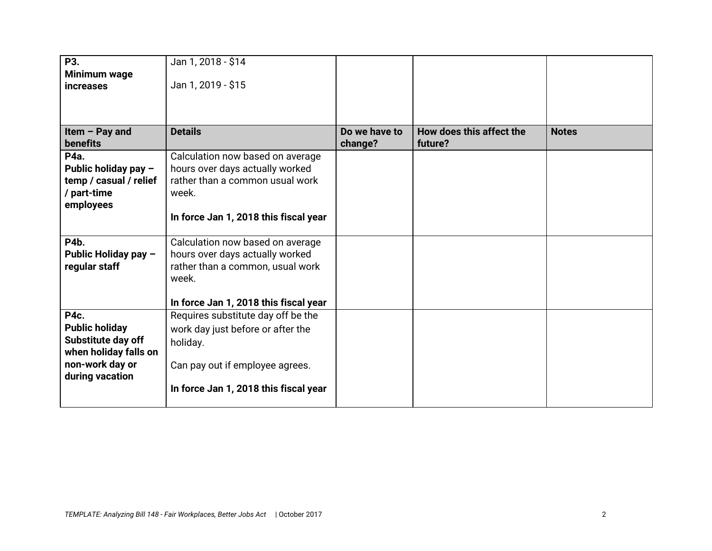| P3.                    | Jan 1, 2018 - \$14                    |               |                          |              |
|------------------------|---------------------------------------|---------------|--------------------------|--------------|
| Minimum wage           |                                       |               |                          |              |
| <b>increases</b>       | Jan 1, 2019 - \$15                    |               |                          |              |
|                        |                                       |               |                          |              |
|                        |                                       |               |                          |              |
| Item $-$ Pay and       | <b>Details</b>                        | Do we have to | How does this affect the | <b>Notes</b> |
| <b>benefits</b>        |                                       | change?       | future?                  |              |
| P4a.                   | Calculation now based on average      |               |                          |              |
| Public holiday pay -   | hours over days actually worked       |               |                          |              |
| temp / casual / relief | rather than a common usual work       |               |                          |              |
| / part-time            | week.                                 |               |                          |              |
| employees              |                                       |               |                          |              |
|                        | In force Jan 1, 2018 this fiscal year |               |                          |              |
|                        |                                       |               |                          |              |
| P4b.                   | Calculation now based on average      |               |                          |              |
| Public Holiday pay -   | hours over days actually worked       |               |                          |              |
| regular staff          | rather than a common, usual work      |               |                          |              |
|                        | week.                                 |               |                          |              |
|                        |                                       |               |                          |              |
|                        | In force Jan 1, 2018 this fiscal year |               |                          |              |
| <b>P4c.</b>            | Requires substitute day off be the    |               |                          |              |
| <b>Public holiday</b>  | work day just before or after the     |               |                          |              |
| Substitute day off     | holiday.                              |               |                          |              |
| when holiday falls on  |                                       |               |                          |              |
| non-work day or        | Can pay out if employee agrees.       |               |                          |              |
| during vacation        |                                       |               |                          |              |
|                        | In force Jan 1, 2018 this fiscal year |               |                          |              |
|                        |                                       |               |                          |              |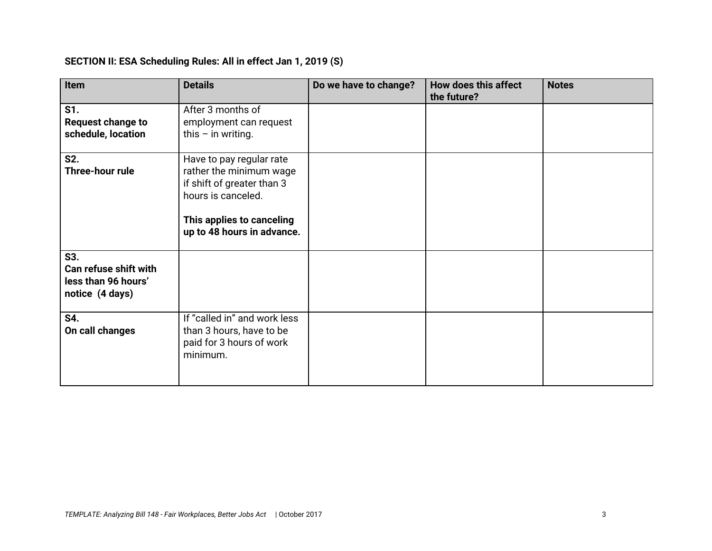# **SECTION II: ESA Scheduling Rules: All in effect Jan 1, 2019 (S)**

| Item                                                                   | <b>Details</b>                                                                                                                                                     | Do we have to change? | How does this affect<br>the future? | <b>Notes</b> |
|------------------------------------------------------------------------|--------------------------------------------------------------------------------------------------------------------------------------------------------------------|-----------------------|-------------------------------------|--------------|
| S1.<br><b>Request change to</b><br>schedule, location                  | After 3 months of<br>employment can request<br>this $-$ in writing.                                                                                                |                       |                                     |              |
| S2.<br>Three-hour rule                                                 | Have to pay regular rate<br>rather the minimum wage<br>if shift of greater than 3<br>hours is canceled.<br>This applies to canceling<br>up to 48 hours in advance. |                       |                                     |              |
| S3.<br>Can refuse shift with<br>less than 96 hours'<br>notice (4 days) |                                                                                                                                                                    |                       |                                     |              |
| S4.<br>On call changes                                                 | If "called in" and work less<br>than 3 hours, have to be<br>paid for 3 hours of work<br>minimum.                                                                   |                       |                                     |              |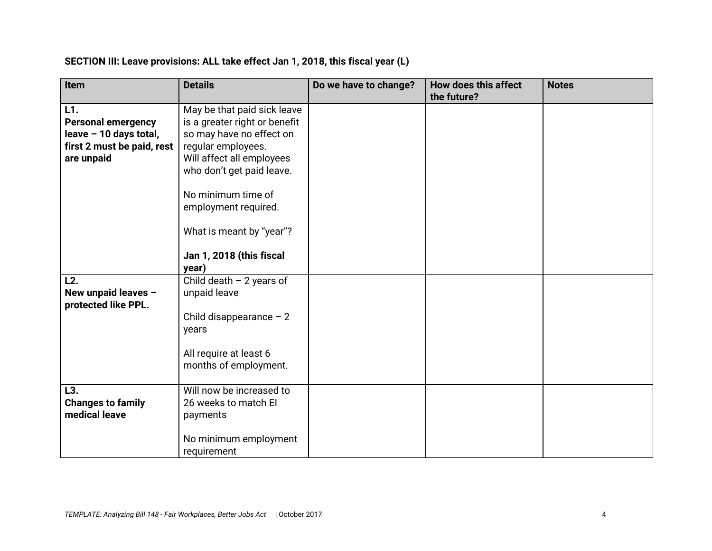#### **SECTION III: Leave provisions: ALL take effect Jan 1, 2018, this fiscal year (L)**

| Item                                                                                                   | <b>Details</b>                                                                                                                                                                                                                                     | Do we have to change? | <b>How does this affect</b><br>the future? | <b>Notes</b> |
|--------------------------------------------------------------------------------------------------------|----------------------------------------------------------------------------------------------------------------------------------------------------------------------------------------------------------------------------------------------------|-----------------------|--------------------------------------------|--------------|
| L1.<br><b>Personal emergency</b><br>leave - 10 days total,<br>first 2 must be paid, rest<br>are unpaid | May be that paid sick leave<br>is a greater right or benefit<br>so may have no effect on<br>regular employees.<br>Will affect all employees<br>who don't get paid leave.<br>No minimum time of<br>employment required.<br>What is meant by "year"? |                       |                                            |              |
|                                                                                                        | Jan 1, 2018 (this fiscal<br>year)                                                                                                                                                                                                                  |                       |                                            |              |
| L2.<br>New unpaid leaves -<br>protected like PPL.                                                      | Child death $-2$ years of<br>unpaid leave<br>Child disappearance $-2$<br>years<br>All require at least 6<br>months of employment.                                                                                                                  |                       |                                            |              |
| L3.<br><b>Changes to family</b><br>medical leave                                                       | Will now be increased to<br>26 weeks to match El<br>payments<br>No minimum employment<br>requirement                                                                                                                                               |                       |                                            |              |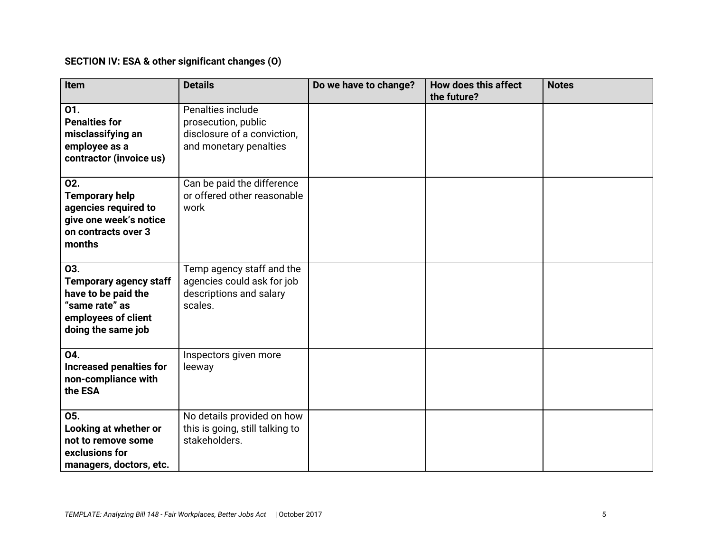# **SECTION IV: ESA & other significant changes (O)**

| Item                                                                                                                       | <b>Details</b>                                                                                    | Do we have to change? | How does this affect<br>the future? | <b>Notes</b> |
|----------------------------------------------------------------------------------------------------------------------------|---------------------------------------------------------------------------------------------------|-----------------------|-------------------------------------|--------------|
| 01.<br><b>Penalties for</b><br>misclassifying an<br>employee as a<br>contractor (invoice us)                               | Penalties include<br>prosecution, public<br>disclosure of a conviction,<br>and monetary penalties |                       |                                     |              |
| 02.<br><b>Temporary help</b><br>agencies required to<br>give one week's notice<br>on contracts over 3<br>months            | Can be paid the difference<br>or offered other reasonable<br>work                                 |                       |                                     |              |
| 03.<br><b>Temporary agency staff</b><br>have to be paid the<br>"same rate" as<br>employees of client<br>doing the same job | Temp agency staff and the<br>agencies could ask for job<br>descriptions and salary<br>scales.     |                       |                                     |              |
| 04.<br><b>Increased penalties for</b><br>non-compliance with<br>the ESA                                                    | Inspectors given more<br>leeway                                                                   |                       |                                     |              |
| 05.<br>Looking at whether or<br>not to remove some<br>exclusions for<br>managers, doctors, etc.                            | No details provided on how<br>this is going, still talking to<br>stakeholders.                    |                       |                                     |              |